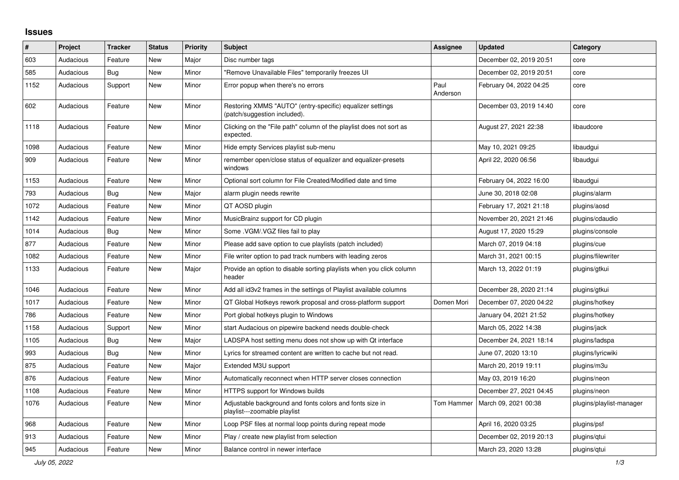## **Issues**

| ∦    | Project   | <b>Tracker</b> | <b>Status</b> | <b>Priority</b> | <b>Subject</b>                                                                            | <b>Assignee</b>  | <b>Updated</b>          | Category                 |
|------|-----------|----------------|---------------|-----------------|-------------------------------------------------------------------------------------------|------------------|-------------------------|--------------------------|
| 603  | Audacious | Feature        | <b>New</b>    | Major           | Disc number tags                                                                          |                  | December 02, 2019 20:51 | core                     |
| 585  | Audacious | Bug            | <b>New</b>    | Minor           | "Remove Unavailable Files" temporarily freezes UI                                         |                  | December 02, 2019 20:51 | core                     |
| 1152 | Audacious | Support        | <b>New</b>    | Minor           | Error popup when there's no errors                                                        | Paul<br>Anderson | February 04, 2022 04:25 | core                     |
| 602  | Audacious | Feature        | New           | Minor           | Restoring XMMS "AUTO" (entry-specific) equalizer settings<br>(patch/suggestion included). |                  | December 03, 2019 14:40 | core                     |
| 1118 | Audacious | Feature        | New           | Minor           | Clicking on the "File path" column of the playlist does not sort as<br>expected.          |                  | August 27, 2021 22:38   | libaudcore               |
| 1098 | Audacious | Feature        | New           | Minor           | Hide empty Services playlist sub-menu                                                     |                  | May 10, 2021 09:25      | libaudgui                |
| 909  | Audacious | Feature        | New           | Minor           | remember open/close status of equalizer and equalizer-presets<br>windows                  |                  | April 22, 2020 06:56    | libaudgui                |
| 1153 | Audacious | Feature        | New           | Minor           | Optional sort column for File Created/Modified date and time                              |                  | February 04, 2022 16:00 | libaudgui                |
| 793  | Audacious | Bug            | New           | Major           | alarm plugin needs rewrite                                                                |                  | June 30, 2018 02:08     | plugins/alarm            |
| 1072 | Audacious | Feature        | <b>New</b>    | Minor           | QT AOSD plugin                                                                            |                  | February 17, 2021 21:18 | plugins/aosd             |
| 1142 | Audacious | Feature        | <b>New</b>    | Minor           | MusicBrainz support for CD plugin                                                         |                  | November 20, 2021 21:46 | plugins/cdaudio          |
| 1014 | Audacious | Bug            | <b>New</b>    | Minor           | Some .VGM/.VGZ files fail to play                                                         |                  | August 17, 2020 15:29   | plugins/console          |
| 877  | Audacious | Feature        | <b>New</b>    | Minor           | Please add save option to cue playlists (patch included)                                  |                  | March 07, 2019 04:18    | plugins/cue              |
| 1082 | Audacious | Feature        | <b>New</b>    | Minor           | File writer option to pad track numbers with leading zeros                                |                  | March 31, 2021 00:15    | plugins/filewriter       |
| 1133 | Audacious | Feature        | New           | Major           | Provide an option to disable sorting playlists when you click column<br>header            |                  | March 13, 2022 01:19    | plugins/gtkui            |
| 1046 | Audacious | Feature        | <b>New</b>    | Minor           | Add all id3v2 frames in the settings of Playlist available columns                        |                  | December 28, 2020 21:14 | plugins/gtkui            |
| 1017 | Audacious | Feature        | New           | Minor           | QT Global Hotkeys rework proposal and cross-platform support                              | Domen Mori       | December 07, 2020 04:22 | plugins/hotkey           |
| 786  | Audacious | Feature        | <b>New</b>    | Minor           | Port global hotkeys plugin to Windows                                                     |                  | January 04, 2021 21:52  | plugins/hotkey           |
| 1158 | Audacious | Support        | <b>New</b>    | Minor           | start Audacious on pipewire backend needs double-check                                    |                  | March 05, 2022 14:38    | plugins/jack             |
| 1105 | Audacious | Bug            | <b>New</b>    | Major           | LADSPA host setting menu does not show up with Qt interface                               |                  | December 24, 2021 18:14 | plugins/ladspa           |
| 993  | Audacious | <b>Bug</b>     | <b>New</b>    | Minor           | Lyrics for streamed content are written to cache but not read.                            |                  | June 07, 2020 13:10     | plugins/lyricwiki        |
| 875  | Audacious | Feature        | <b>New</b>    | Major           | Extended M3U support                                                                      |                  | March 20, 2019 19:11    | plugins/m3u              |
| 876  | Audacious | Feature        | <b>New</b>    | Minor           | Automatically reconnect when HTTP server closes connection                                |                  | May 03, 2019 16:20      | plugins/neon             |
| 1108 | Audacious | Feature        | New           | Minor           | <b>HTTPS support for Windows builds</b>                                                   |                  | December 27, 2021 04:45 | plugins/neon             |
| 1076 | Audacious | Feature        | New           | Minor           | Adjustable background and fonts colors and fonts size in<br>playlist---zoomable playlist  | Tom Hammer       | March 09, 2021 00:38    | plugins/playlist-manager |
| 968  | Audacious | Feature        | New           | Minor           | Loop PSF files at normal loop points during repeat mode                                   |                  | April 16, 2020 03:25    | plugins/psf              |
| 913  | Audacious | Feature        | New           | Minor           | Play / create new playlist from selection                                                 |                  | December 02, 2019 20:13 | plugins/qtui             |
| 945  | Audacious | Feature        | <b>New</b>    | Minor           | Balance control in newer interface                                                        |                  | March 23, 2020 13:28    | plugins/gtui             |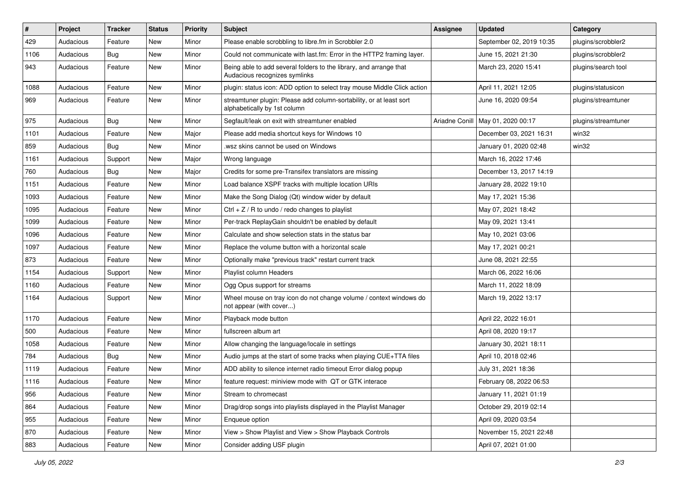| #    | Project   | <b>Tracker</b> | <b>Status</b> | <b>Priority</b> | Subject                                                                                             | <b>Assignee</b> | <b>Updated</b>           | Category            |
|------|-----------|----------------|---------------|-----------------|-----------------------------------------------------------------------------------------------------|-----------------|--------------------------|---------------------|
| 429  | Audacious | Feature        | New           | Minor           | Please enable scrobbling to libre.fm in Scrobbler 2.0                                               |                 | September 02, 2019 10:35 | plugins/scrobbler2  |
| 1106 | Audacious | Bug            | New           | Minor           | Could not communicate with last.fm: Error in the HTTP2 framing layer.                               |                 | June 15, 2021 21:30      | plugins/scrobbler2  |
| 943  | Audacious | Feature        | New           | Minor           | Being able to add several folders to the library, and arrange that<br>Audacious recognizes symlinks |                 | March 23, 2020 15:41     | plugins/search tool |
| 1088 | Audacious | Feature        | New           | Minor           | plugin: status icon: ADD option to select tray mouse Middle Click action                            |                 | April 11, 2021 12:05     | plugins/statusicon  |
| 969  | Audacious | Feature        | New           | Minor           | streamtuner plugin: Please add column-sortability, or at least sort<br>alphabetically by 1st column |                 | June 16, 2020 09:54      | plugins/streamtuner |
| 975  | Audacious | Bug            | New           | Minor           | Segfault/leak on exit with streamtuner enabled                                                      | Ariadne Conill  | May 01, 2020 00:17       | plugins/streamtuner |
| 1101 | Audacious | Feature        | <b>New</b>    | Major           | Please add media shortcut keys for Windows 10                                                       |                 | December 03, 2021 16:31  | win32               |
| 859  | Audacious | <b>Bug</b>     | <b>New</b>    | Minor           | .wsz skins cannot be used on Windows                                                                |                 | January 01, 2020 02:48   | win32               |
| 1161 | Audacious | Support        | New           | Major           | Wrong language                                                                                      |                 | March 16, 2022 17:46     |                     |
| 760  | Audacious | Bug            | New           | Major           | Credits for some pre-Transifex translators are missing                                              |                 | December 13, 2017 14:19  |                     |
| 1151 | Audacious | Feature        | New           | Minor           | Load balance XSPF tracks with multiple location URIs                                                |                 | January 28, 2022 19:10   |                     |
| 1093 | Audacious | Feature        | New           | Minor           | Make the Song Dialog (Qt) window wider by default                                                   |                 | May 17, 2021 15:36       |                     |
| 1095 | Audacious | Feature        | <b>New</b>    | Minor           | $Ctrl + Z / R$ to undo / redo changes to playlist                                                   |                 | May 07, 2021 18:42       |                     |
| 1099 | Audacious | Feature        | New           | Minor           | Per-track ReplayGain shouldn't be enabled by default                                                |                 | May 09, 2021 13:41       |                     |
| 1096 | Audacious | Feature        | New           | Minor           | Calculate and show selection stats in the status bar                                                |                 | May 10, 2021 03:06       |                     |
| 1097 | Audacious | Feature        | New           | Minor           | Replace the volume button with a horizontal scale                                                   |                 | May 17, 2021 00:21       |                     |
| 873  | Audacious | Feature        | New           | Minor           | Optionally make "previous track" restart current track                                              |                 | June 08, 2021 22:55      |                     |
| 1154 | Audacious | Support        | <b>New</b>    | Minor           | Playlist column Headers                                                                             |                 | March 06, 2022 16:06     |                     |
| 1160 | Audacious | Feature        | New           | Minor           | Ogg Opus support for streams                                                                        |                 | March 11, 2022 18:09     |                     |
| 1164 | Audacious | Support        | New           | Minor           | Wheel mouse on tray icon do not change volume / context windows do<br>not appear (with cover)       |                 | March 19, 2022 13:17     |                     |
| 1170 | Audacious | Feature        | <b>New</b>    | Minor           | Playback mode button                                                                                |                 | April 22, 2022 16:01     |                     |
| 500  | Audacious | Feature        | New           | Minor           | fullscreen album art                                                                                |                 | April 08, 2020 19:17     |                     |
| 1058 | Audacious | Feature        | New           | Minor           | Allow changing the language/locale in settings                                                      |                 | January 30, 2021 18:11   |                     |
| 784  | Audacious | Bug            | New           | Minor           | Audio jumps at the start of some tracks when playing CUE+TTA files                                  |                 | April 10, 2018 02:46     |                     |
| 1119 | Audacious | Feature        | <b>New</b>    | Minor           | ADD ability to silence internet radio timeout Error dialog popup                                    |                 | July 31, 2021 18:36      |                     |
| 1116 | Audacious | Feature        | New           | Minor           | feature request: miniview mode with QT or GTK interace                                              |                 | February 08, 2022 06:53  |                     |
| 956  | Audacious | Feature        | New           | Minor           | Stream to chromecast                                                                                |                 | January 11, 2021 01:19   |                     |
| 864  | Audacious | Feature        | New           | Minor           | Drag/drop songs into playlists displayed in the Playlist Manager                                    |                 | October 29, 2019 02:14   |                     |
| 955  | Audacious | Feature        | New           | Minor           | Enqueue option                                                                                      |                 | April 09, 2020 03:54     |                     |
| 870  | Audacious | Feature        | New           | Minor           | View > Show Playlist and View > Show Playback Controls                                              |                 | November 15, 2021 22:48  |                     |
| 883  | Audacious | Feature        | New           | Minor           | Consider adding USF plugin                                                                          |                 | April 07, 2021 01:00     |                     |